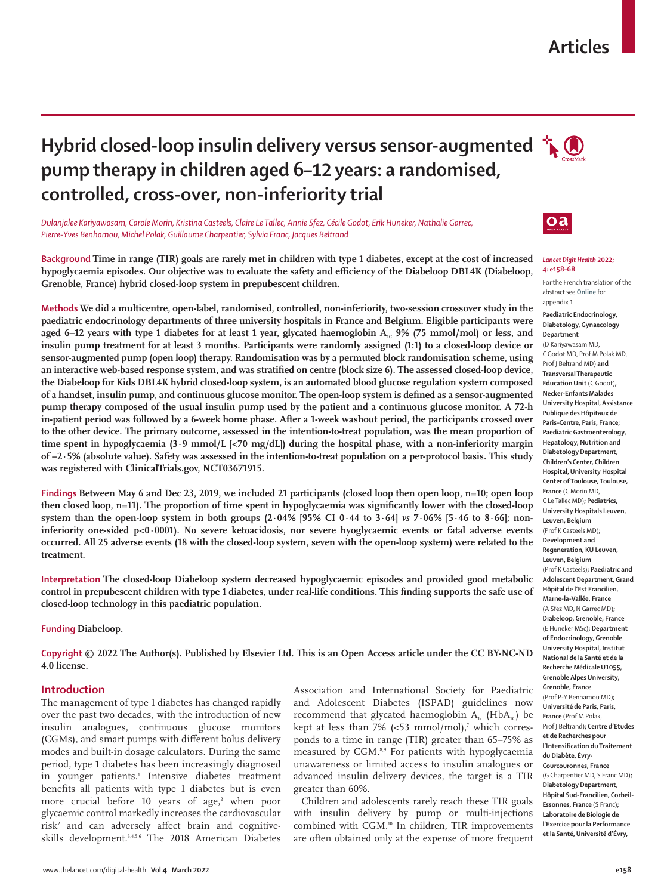## **Articles**

# **Hybrid closed-loop insulin delivery versus sensor-augmented**  $\mathbf{A}$ **pump therapy in children aged 6–12 years: a randomised, controlled, cross-over, non-inferiority trial**

*Dulanjalee Kariyawasam, Carole Morin, Kristina Casteels, Claire Le Tallec, Annie Sfez, Cécile Godot, Erik Huneker, Nathalie Garrec, Pierre-Yves Benhamou, Michel Polak, Guillaume Charpentier, Sylvia Franc, Jacques Beltrand*

**Background Time in range (TIR) goals are rarely met in children with type 1 diabetes, except at the cost of increased hypoglycaemia episodes. Our objective was to evaluate the safety and efficiency of the Diabeloop DBL4K (Diabeloop, Grenoble, France) hybrid closed-loop system in prepubescent children.**

**Methods We did a multicentre, open-label, randomised, controlled, non-inferiority, two-session crossover study in the paediatric endocrinology departments of three university hospitals in France and Belgium. Eligible participants were aged 6–12 years with type 1 diabetes for at least 1 year, glycated haemoglobin A<sub>1c</sub> 9% (75 mmol/mol) or less, and insulin pump treatment for at least 3 months. Participants were randomly assigned (1:1) to a closed-loop device or sensor-augmented pump (open loop) therapy. Randomisation was by a permuted block randomisation scheme, using an interactive web-based response system, and was stratified on centre (block size 6). The assessed closed-loop device, the Diabeloop for Kids DBL4K hybrid closed-loop system, is an automated blood glucose regulation system composed of a handset, insulin pump, and continuous glucose monitor. The open-loop system is defined as a sensor-augmented pump therapy composed of the usual insulin pump used by the patient and a continuous glucose monitor. A 72-h in-patient period was followed by a 6-week home phase. After a 1-week washout period, the participants crossed over to the other device. The primary outcome, assessed in the intention-to-treat population, was the mean proportion of time spent in hypoglycaemia (3·9 mmol/L [<70 mg/dL]) during the hospital phase, with a non-inferiority margin of –2·5% (absolute value). Safety was assessed in the intention-to-treat population on a per-protocol basis. This study was registered with ClinicalTrials.gov, NCT03671915.**

**Findings** Between May 6 and Dec 23, 2019, we included 21 participants (closed loop then open loop, n=10; open loop **then closed loop, n=11). The proportion of time spent in hypoglycaemia was significantly lower with the closed-loop system than the open-loop system in both groups (2·04% [95% CI 0·44 to 3·64]** *vs* **7·06% [5·46 to 8·66]; noninferiority one-sided p<0·0001). No severe ketoacidosis, nor severe hyoglycaemic events or fatal adverse events occurred. All 25 adverse events (18 with the closed-loop system, seven with the open-loop system) were related to the treatment.**

**Interpretation The closed-loop Diabeloop system decreased hypoglycaemic episodes and provided good metabolic control in prepubescent children with type 1 diabetes, under real-life conditions. This finding supports the safe use of closed-loop technology in this paediatric population.**

#### **Funding Diabeloop.**

**Copyright © 2022 The Author(s). Published by Elsevier Ltd. This is an Open Access article under the CC BY-NC-ND 4.0 license.**

#### **Introduction**

The management of type 1 diabetes has changed rapidly over the past two decades, with the introduction of new insulin analogues, continuous glucose monitors (CGMs), and smart pumps with different bolus delivery modes and built-in dosage calculators. During the same period, type 1 diabetes has been increasingly diagnosed in younger patients.<sup>1</sup> Intensive diabetes treatment benefits all patients with type 1 diabetes but is even more crucial before 10 years of age,<sup>2</sup> when poor glycaemic control markedly increases the cardiovascular risk2 and can adversely affect brain and cognitiveskills development.3,4,5,6 The 2018 American Diabetes

Association and International Society for Paediatric and Adolescent Diabetes (ISPAD) guidelines now recommend that glycated haemoglobin  $A_{1c}$  (Hb $A_{1c}$ ) be kept at less than  $7\%$  (<53 mmol/mol),<sup>7</sup> which corresponds to a time in range (TIR) greater than 65–75% as measured by CGM.8,9 For patients with hypoglycaemia unawareness or limited access to insulin analogues or advanced insulin delivery devices, the target is a TIR greater than 60%.

Children and adolescents rarely reach these TIR goals with insulin delivery by pump or multi-injections combined with CGM.10 In children, TIR improvements are often obtained only at the expense of more frequent





#### *Lancet Digit Health* **2022; 4: e158–68**

For the French translation of the abstract see **Online** for appendix 1

**Paediatric Endocrinology,** 

**Diabetology, Gynaecology Department**  (D Kariyawasam MD, C Godot MD, Prof M Polak MD, Prof J Beltrand MD) **and Transversal Therapeutic Education Unit** (C Godot)**, Necker-Enfants Malades University Hospital, Assistance Publique des Hôpitaux de Paris–Centre, Paris, France; Paediatric Gastroenterology, Hepatology, Nutrition and Diabetology Department, Children's Center, Children Hospital, University Hospital Center of Toulouse, Toulouse, France** (C Morin MD, C Le Tallec MD)**; Pediatrics, University Hospitals Leuven, Leuven, Belgium**  (Prof K Casteels MD)**; Development and Regeneration, KU Leuven, Leuven, Belgium**  (Prof K Casteels)**; Paediatric and Adolescent Department, Grand Hôpital de l'Est Francilien, Marne-la-Vallée, France**  (A Sfez MD, N Garrec MD)**; Diabeloop, Grenoble, France**  (E Huneker MSc)**; Department of Endocrinology, Grenoble University Hospital, Institut National de la Santé et de la Recherche Médicale U1055, Grenoble Alpes University, Grenoble, France**  (Prof P-Y Benhamou MD)**; Université de Paris, Paris, France** (Prof M Polak, Prof J Beltrand)**; Centre d'Etudes et de Recherches pour l'Intensification du Traitement du Diabète, Évry-Courcouronnes, France**  (G Charpentier MD, S Franc MD)**; Diabetology Department, Hôpital Sud-Francilien, Corbeil-Essonnes, France** (S Franc)**; Laboratoire de Biologie de l'Exercice pour la Performance et la Santé, Université d'Évry,**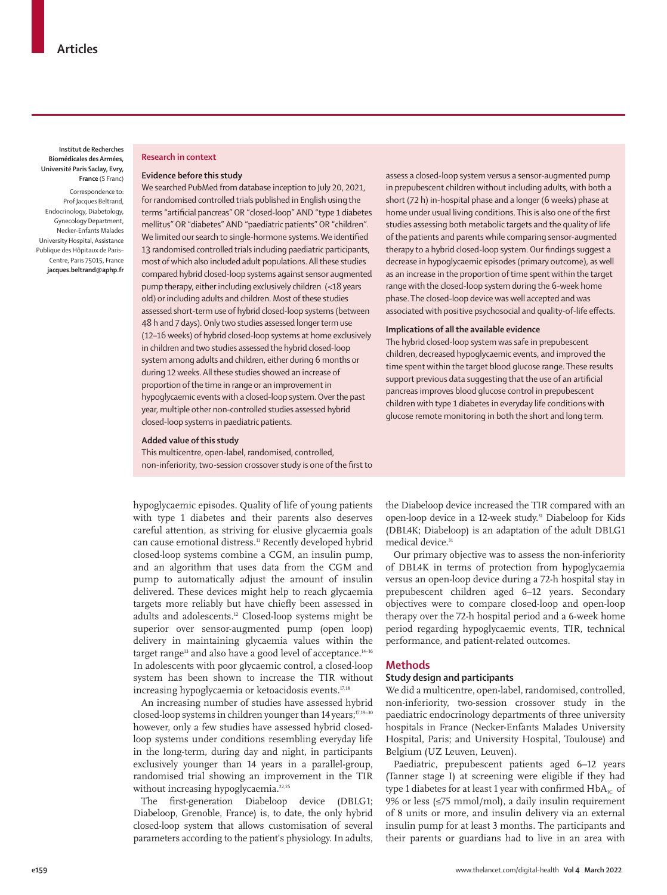**Institut de Recherches Biomédicales des Armées, Université Paris Saclay, Evry, France** (S Franc)

Correspondence to: Prof Jacques Beltrand, Endocrinology, Diabetology, Gynecology Department, Necker-Enfants Malades University Hospital, Assistance Publique des Hôpitaux de Paris– Centre, Paris 75015, France **jacques.beltrand@aphp.fr**

#### **Research in context**

#### **Evidence before this study**

We searched PubMed from database inception to July 20, 2021, for randomised controlled trials published in English using the terms "artificial pancreas" OR "closed-loop" AND "type 1 diabetes mellitus" OR "diabetes" AND "paediatric patients" OR "children". We limited our search to single-hormone systems. We identified 13 randomised controlled trials including paediatric participants, most of which also included adult populations. All these studies compared hybrid closed-loop systems against sensor augmented pump therapy, either including exclusively children (<18 years old) or including adults and children. Most of these studies assessed short-term use of hybrid closed-loop systems (between 48 h and 7 days). Only two studies assessed longer term use (12–16 weeks) of hybrid closed-loop systems at home exclusively in children and two studies assessed the hybrid closed-loop system among adults and children, either during 6 months or during 12 weeks. All these studies showed an increase of proportion of the time in range or an improvement in hypoglycaemic events with a closed-loop system. Over the past year, multiple other non-controlled studies assessed hybrid closed-loop systems in paediatric patients.

#### **Added value of this study**

This multicentre, open-label, randomised, controlled, non-inferiority, two-session crossover study is one of the first to

hypoglycaemic episodes. Quality of life of young patients with type 1 diabetes and their parents also deserves careful attention, as striving for elusive glycaemia goals can cause emotional distress.<sup>11</sup> Recently developed hybrid closed-loop systems combine a CGM, an insulin pump, and an algorithm that uses data from the CGM and pump to automatically adjust the amount of insulin delivered. These devices might help to reach glycaemia targets more reliably but have chiefly been assessed in adults and adolescents.12 Closed-loop systems might be superior over sensor-augmented pump (open loop) delivery in maintaining glycaemia values within the target range<sup>13</sup> and also have a good level of acceptance.<sup>14-16</sup> In adolescents with poor glycaemic control, a closed-loop system has been shown to increase the TIR without increasing hypoglycaemia or ketoacidosis events.<sup>17,18</sup>

An increasing number of studies have assessed hybrid closed-loop systems in children younger than 14 years;<sup>17,19-30</sup> however, only a few studies have assessed hybrid closedloop systems under conditions resembling everyday life in the long-term, during day and night, in participants exclusively younger than 14 years in a parallel-group, randomised trial showing an improvement in the TIR without increasing hypoglycaemia.<sup>22,25</sup>

The first-generation Diabeloop device (DBLG1; Diabeloop, Grenoble, France) is, to date, the only hybrid closed-loop system that allows customisation of several parameters according to the patient's physiology. In adults,

assess a closed-loop system versus a sensor-augmented pump in prepubescent children without including adults, with both a short (72 h) in-hospital phase and a longer (6 weeks) phase at home under usual living conditions. This is also one of the first studies assessing both metabolic targets and the quality of life of the patients and parents while comparing sensor-augmented therapy to a hybrid closed-loop system. Our findings suggest a decrease in hypoglycaemic episodes (primary outcome), as well as an increase in the proportion of time spent within the target range with the closed-loop system during the 6-week home phase. The closed-loop device was well accepted and was associated with positive psychosocial and quality-of-life effects.

### **Implications of all the available evidence**

The hybrid closed-loop system was safe in prepubescent children, decreased hypoglycaemic events, and improved the time spent within the target blood glucose range. These results support previous data suggesting that the use of an artificial pancreas improves blood glucose control in prepubescent children with type 1 diabetes in everyday life conditions with glucose remote monitoring in both the short and long term.

the Diabeloop device increased the TIR compared with an open-loop device in a 12-week study.<sup>31</sup> Diabeloop for Kids (DBL4K; Diabeloop) is an adaptation of the adult DBLG1 medical device.<sup>31</sup>

Our primary objective was to assess the non-inferiority of DBL4K in terms of protection from hypoglycaemia versus an open-loop device during a 72-h hospital stay in prepubescent children aged 6–12 years. Secondary objectives were to compare closed-loop and open-loop therapy over the 72-h hospital period and a 6-week home period regarding hypoglycaemic events, TIR, technical performance, and patient-related outcomes.

## **Methods**

## **Study design and participants**

We did a multicentre, open-label, randomised, controlled, non-inferiority, two-session crossover study in the paediatric endocrinology departments of three university hospitals in France (Necker-Enfants Malades University Hospital, Paris; and University Hospital, Toulouse) and Belgium (UZ Leuven, Leuven).

Paediatric, prepubescent patients aged 6–12 years (Tanner stage I) at screening were eligible if they had type 1 diabetes for at least 1 year with confirmed  $HbA_{1C}$  of 9% or less (≤75 mmol/mol), a daily insulin requirement of 8 units or more, and insulin delivery via an external insulin pump for at least 3 months. The participants and their parents or guardians had to live in an area with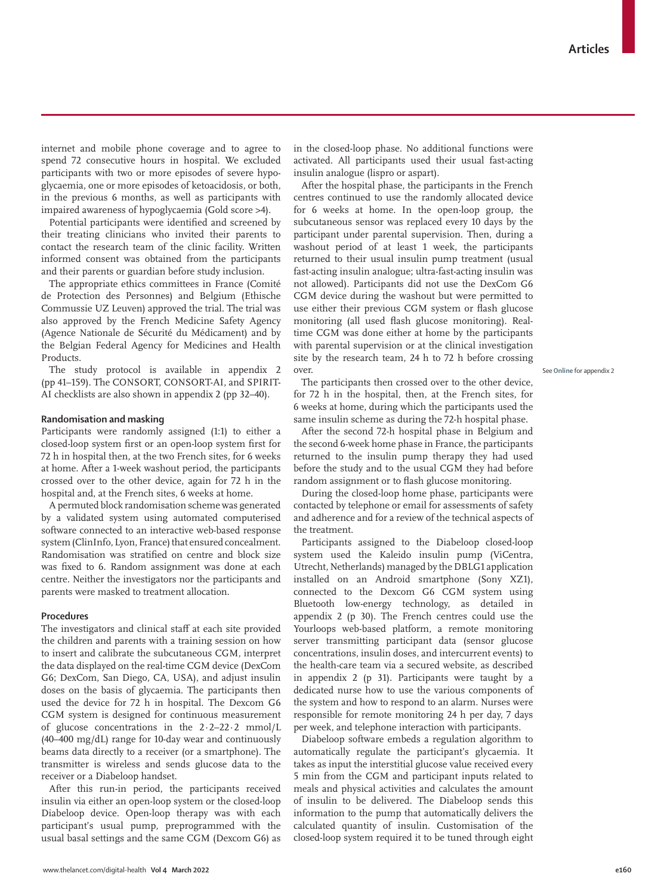internet and mobile phone coverage and to agree to spend 72 consecutive hours in hospital. We excluded participants with two or more episodes of severe hypoglycaemia, one or more episodes of ketoacidosis, or both, in the previous 6 months, as well as participants with impaired awareness of hypoglycaemia (Gold score >4).

Potential participants were identified and screened by their treating clinicians who invited their parents to contact the research team of the clinic facility. Written informed consent was obtained from the participants and their parents or guardian before study inclusion.

The appropriate ethics committees in France (Comité de Protection des Personnes) and Belgium (Ethische Commussie UZ Leuven) approved the trial. The trial was also approved by the French Medicine Safety Agency (Agence Nationale de Sécurité du Médicament) and by the Belgian Federal Agency for Medicines and Health Products.

The study protocol is available in appendix 2 (pp 41–159). The CONSORT, CONSORT-AI, and SPIRIT-AI checklists are also shown in appendix 2 (pp 32–40).

## **Randomisation and masking**

Participants were randomly assigned (1:1) to either a closed-loop system first or an open-loop system first for 72 h in hospital then, at the two French sites, for 6 weeks at home. After a 1-week washout period, the participants crossed over to the other device, again for 72 h in the hospital and, at the French sites, 6 weeks at home.

A permuted block randomisation scheme was generated by a validated system using automated computerised software connected to an interactive web-based response system (ClinInfo, Lyon, France) that ensured concealment. Randomisation was stratified on centre and block size was fixed to 6. Random assignment was done at each centre. Neither the investigators nor the participants and parents were masked to treatment allocation.

#### **Procedures**

The investigators and clinical staff at each site provided the children and parents with a training session on how to insert and calibrate the subcutaneous CGM, interpret the data displayed on the real-time CGM device (DexCom G6; DexCom, San Diego, CA, USA), and adjust insulin doses on the basis of glycaemia. The participants then used the device for 72 h in hospital. The Dexcom G6 CGM system is designed for continuous measurement of glucose concentrations in the 2·2–22·2 mmol/L (40–400 mg/dL) range for 10-day wear and continuously beams data directly to a receiver (or a smartphone). The transmitter is wireless and sends glucose data to the receiver or a Diabeloop handset.

After this run-in period, the participants received insulin via either an open-loop system or the closed-loop Diabeloop device. Open-loop therapy was with each participant's usual pump, preprogrammed with the usual basal settings and the same CGM (Dexcom G6) as in the closed-loop phase. No additional functions were activated. All participants used their usual fast-acting insulin analogue (lispro or aspart).

After the hospital phase, the participants in the French centres continued to use the randomly allocated device for 6 weeks at home. In the open-loop group, the subcutaneous sensor was replaced every 10 days by the participant under parental supervision. Then, during a washout period of at least 1 week, the participants returned to their usual insulin pump treatment (usual fast-acting insulin analogue; ultra-fast-acting insulin was not allowed). Participants did not use the DexCom G6 CGM device during the washout but were permitted to use either their previous CGM system or flash glucose monitoring (all used flash glucose monitoring). Realtime CGM was done either at home by the participants with parental supervision or at the clinical investigation site by the research team, 24 h to 72 h before crossing over.

The participants then crossed over to the other device, for 72 h in the hospital, then, at the French sites, for 6 weeks at home, during which the participants used the same insulin scheme as during the 72-h hospital phase.

After the second 72-h hospital phase in Belgium and the second 6-week home phase in France, the participants returned to the insulin pump therapy they had used before the study and to the usual CGM they had before random assignment or to flash glucose monitoring.

During the closed-loop home phase, participants were contacted by telephone or email for assessments of safety and adherence and for a review of the technical aspects of the treatment.

Participants assigned to the Diabeloop closed-loop system used the Kaleido insulin pump (ViCentra, Utrecht, Netherlands) managed by the DBLG1 application installed on an Android smartphone (Sony XZ1), connected to the Dexcom G6 CGM system using Bluetooth low-energy technology, as detailed in appendix 2 (p 30). The French centres could use the Yourloops web-based platform, a remote monitoring server transmitting participant data (sensor glucose concentrations, insulin doses, and intercurrent events) to the health-care team via a secured website, as described in appendix 2 (p 31). Participants were taught by a dedicated nurse how to use the various components of the system and how to respond to an alarm. Nurses were responsible for remote monitoring 24 h per day, 7 days per week, and telephone interaction with participants.

Diabeloop software embeds a regulation algorithm to automatically regulate the participant's glycaemia. It takes as input the interstitial glucose value received every 5 min from the CGM and participant inputs related to meals and physical activities and calculates the amount of insulin to be delivered. The Diabeloop sends this information to the pump that automatically delivers the calculated quantity of insulin. Customisation of the closed-loop system required it to be tuned through eight See **Online** for appendix 2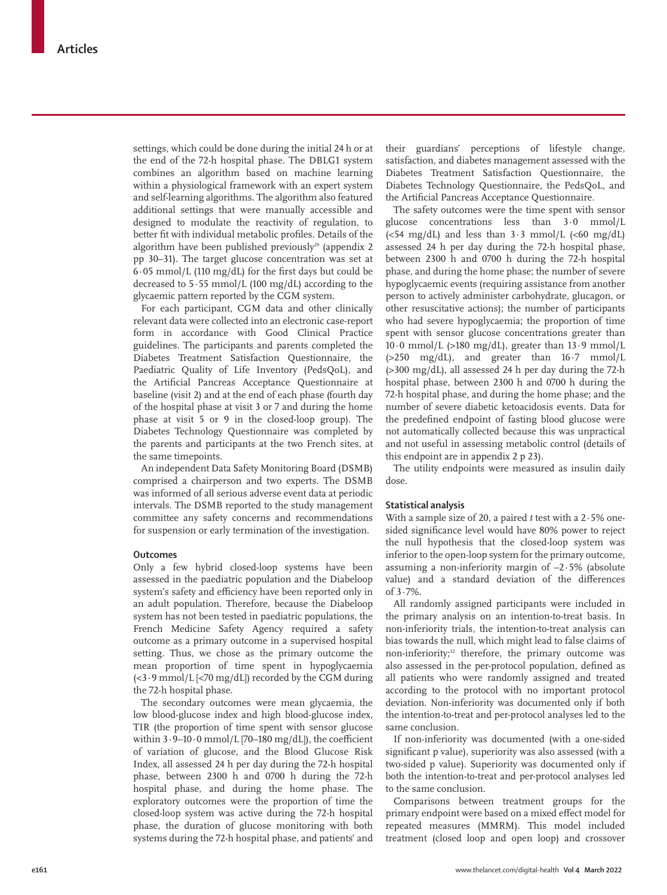settings, which could be done during the initial 24 h or at the end of the 72-h hospital phase. The DBLG1 system combines an algorithm based on machine learning within a physiological framework with an expert system and self-learning algorithms. The algorithm also featured additional settings that were manually accessible and designed to modulate the reactivity of regulation, to better fit with individual metabolic profiles. Details of the algorithm have been published previously<sup>29</sup> (appendix 2 pp 30–31). The target glucose concentration was set at 6·05 mmol/L (110 mg/dL) for the first days but could be decreased to  $5.55$  mmol/L (100 mg/dL) according to the glycaemic pattern reported by the CGM system.

For each participant, CGM data and other clinically relevant data were collected into an electronic case-report form in accordance with Good Clinical Practice guidelines. The participants and parents completed the Diabetes Treatment Satisfaction Questionnaire, the Paediatric Quality of Life Inventory (PedsQoL), and the Artificial Pancreas Acceptance Questionnaire at baseline (visit 2) and at the end of each phase (fourth day of the hospital phase at visit 3 or 7 and during the home phase at visit 5 or 9 in the closed-loop group). The Diabetes Technology Questionnaire was completed by the parents and participants at the two French sites, at the same timepoints.

An independent Data Safety Monitoring Board (DSMB) comprised a chairperson and two experts. The DSMB was informed of all serious adverse event data at periodic intervals. The DSMB reported to the study management committee any safety concerns and recommendations for suspension or early termination of the investigation.

### **Outcomes**

Only a few hybrid closed-loop systems have been assessed in the paediatric population and the Diabeloop system's safety and efficiency have been reported only in an adult population. Therefore, because the Diabeloop system has not been tested in paediatric populations, the French Medicine Safety Agency required a safety outcome as a primary outcome in a supervised hospital setting. Thus, we chose as the primary outcome the mean proportion of time spent in hypoglycaemia  $(<3.9 \text{ mmol/L}$   $(<70 \text{ mg/dL})$  recorded by the CGM during the 72-h hospital phase.

The secondary outcomes were mean glycaemia, the low blood-glucose index and high blood-glucose index, TIR (the proportion of time spent with sensor glucose within  $3.9-10.0$  mmol/L [70-180 mg/dL]), the coefficient of variation of glucose, and the Blood Glucose Risk Index, all assessed 24 h per day during the 72-h hospital phase, between 2300 h and 0700 h during the 72-h hospital phase, and during the home phase. The exploratory outcomes were the proportion of time the closed-loop system was active during the 72-h hospital phase, the duration of glucose monitoring with both systems during the 72-h hospital phase, and patients' and their guardians' perceptions of lifestyle change, satisfaction, and diabetes management assessed with the Diabetes Treatment Satisfaction Questionnaire, the Diabetes Technology Questionnaire, the PedsQoL, and the Artificial Pancreas Acceptance Questionnaire.

The safety outcomes were the time spent with sensor glucose concentrations less than 3·0 mmol/L ( $<54 \text{ mg/dL}$ ) and less than  $3.3 \text{ mmol/L}$  ( $<60 \text{ mg/dL}$ ) assessed 24 h per day during the 72-h hospital phase, between 2300 h and 0700 h during the 72-h hospital phase, and during the home phase; the number of severe hypoglycaemic events (requiring assistance from another person to actively administer carbohydrate, glucagon, or other resuscitative actions); the number of participants who had severe hypoglycaemia; the proportion of time spent with sensor glucose concentrations greater than  $10.0$  mmol/L (>180 mg/dL), greater than  $13.9$  mmol/L  $(>250 \text{ mg/dL})$ , and greater than  $16.7 \text{ mmol/L}$ (>300 mg/dL), all assessed 24 h per day during the 72-h hospital phase, between 2300 h and 0700 h during the 72-h hospital phase, and during the home phase; and the number of severe diabetic ketoacidosis events. Data for the predefined endpoint of fasting blood glucose were not automatically collected because this was unpractical and not useful in assessing metabolic control (details of this endpoint are in appendix 2 p 23).

The utility endpoints were measured as insulin daily dose.

## **Statistical analysis**

With a sample size of 20, a paired *t* test with a 2·5% onesided significance level would have 80% power to reject the null hypothesis that the closed-loop system was inferior to the open-loop system for the primary outcome, assuming a non-inferiority margin of –2·5% (absolute value) and a standard deviation of the differences of 3·7%.

All randomly assigned participants were included in the primary analysis on an intention-to-treat basis. In non-inferiority trials, the intention-to-treat analysis can bias towards the null, which might lead to false claims of non-inferiority;<sup>32</sup> therefore, the primary outcome was also assessed in the per-protocol population, defined as all patients who were randomly assigned and treated according to the protocol with no important protocol deviation. Non-inferiority was documented only if both the intention-to-treat and per-protocol analyses led to the same conclusion.

If non-inferiority was documented (with a one-sided significant p value), superiority was also assessed (with a two-sided p value). Superiority was documented only if both the intention-to-treat and per-protocol analyses led to the same conclusion.

Comparisons between treatment groups for the primary endpoint were based on a mixed effect model for repeated measures (MMRM). This model included treatment (closed loop and open loop) and crossover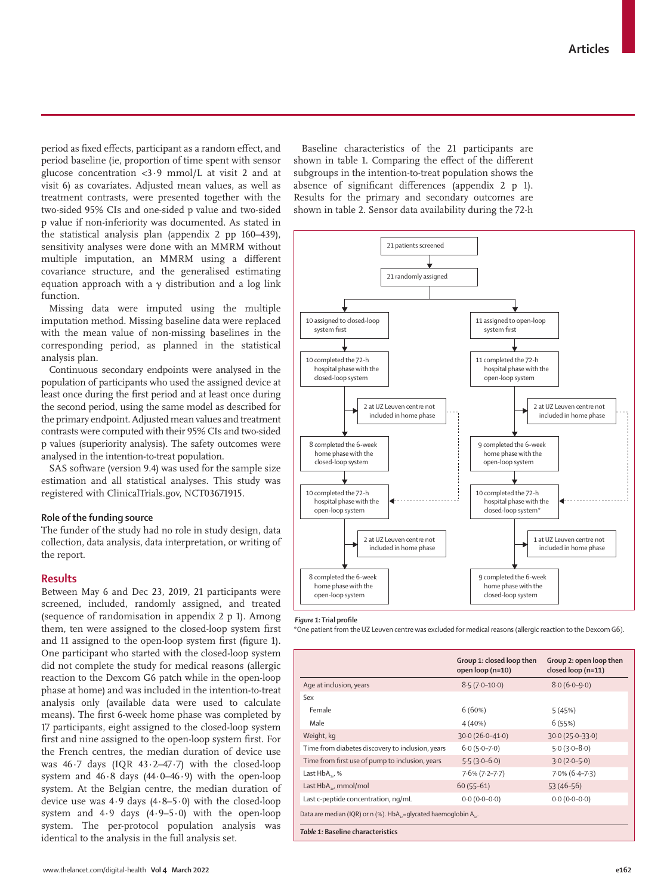period as fixed effects, participant as a random effect, and period baseline (ie, proportion of time spent with sensor glucose concentration <3·9 mmol/L at visit 2 and at visit 6) as covariates. Adjusted mean values, as well as treatment contrasts, were presented together with the two-sided 95% CIs and one-sided p value and two-sided p value if non-inferiority was documented. As stated in the statistical analysis plan (appendix 2 pp 160–439), sensitivity analyses were done with an MMRM without multiple imputation, an MMRM using a different covariance structure, and the generalised estimating equation approach with a γ distribution and a log link function.

Missing data were imputed using the multiple imputation method. Missing baseline data were replaced with the mean value of non-missing baselines in the corresponding period, as planned in the statistical analysis plan.

Continuous secondary endpoints were analysed in the population of participants who used the assigned device at least once during the first period and at least once during the second period, using the same model as described for the primary endpoint. Adjusted mean values and treatment contrasts were computed with their 95% CIs and two-sided p values (superiority analysis). The safety outcomes were analysed in the intention-to-treat population.

SAS software (version 9.4) was used for the sample size estimation and all statistical analyses. This study was registered with ClinicalTrials.gov, NCT03671915.

#### **Role of the funding source**

The funder of the study had no role in study design, data collection, data analysis, data interpretation, or writing of the report.

## **Results**

Between May 6 and Dec 23, 2019, 21 participants were screened, included, randomly assigned, and treated (sequence of randomisation in appendix 2 p 1). Among them, ten were assigned to the closed-loop system first and 11 assigned to the open-loop system first (figure 1). One participant who started with the closed-loop system did not complete the study for medical reasons (allergic reaction to the Dexcom G6 patch while in the open-loop phase at home) and was included in the intention-to-treat analysis only (available data were used to calculate means). The first 6-week home phase was completed by 17 participants, eight assigned to the closed-loop system first and nine assigned to the open-loop system first. For the French centres, the median duration of device use was 46·7 days (IQR 43·2–47·7) with the closed-loop system and  $46.8$  days  $(44.0-46.9)$  with the open-loop system. At the Belgian centre, the median duration of device use was 4·9 days (4·8–5·0) with the closed-loop system and 4·9 days (4·9–5·0) with the open-loop system. The per-protocol population analysis was identical to the analysis in the full analysis set.

Baseline characteristics of the 21 participants are shown in table 1. Comparing the effect of the different subgroups in the intention-to-treat population shows the absence of significant differences (appendix 2 p 1). Results for the primary and secondary outcomes are shown in table 2. Sensor data availability during the 72-h



#### *Figure 1:* **Trial profile**

\*One patient from the UZ Leuven centre was excluded for medical reasons (allergic reaction to the Dexcom G6).

|                                                                 | Group 1: closed loop then<br>open loop (n=10) | Group 2: open loop then<br>closed loop (n=11) |  |  |  |
|-----------------------------------------------------------------|-----------------------------------------------|-----------------------------------------------|--|--|--|
| Age at inclusion, years                                         | $8.5(7.0-10.0)$                               | $8.0(6.0-9.0)$                                |  |  |  |
| Sex                                                             |                                               |                                               |  |  |  |
| Female                                                          | 6(60%)                                        | 5(45%)                                        |  |  |  |
| Male                                                            | 4(40%)                                        | 6(55%)                                        |  |  |  |
| Weight, kg                                                      | $30.0(26.0 - 41.0)$                           | $30.0(25.0-33.0)$                             |  |  |  |
| Time from diabetes discovery to inclusion, years                | $6.0(5.0 - 7.0)$                              | $5.0(3.0-8.0)$                                |  |  |  |
| Time from first use of pump to inclusion, years                 | $5.5(3.0-6.0)$                                | $3.0(2.0-5.0)$                                |  |  |  |
| Last $HbA_{11}$ %                                               | $7.6\%$ (7.2-7.7)                             | $7.0\%$ (6.4-7.3)                             |  |  |  |
| Last $HbA_{16}$ , mmol/mol                                      | $60(55-61)$                                   | $53(46-56)$                                   |  |  |  |
| Last c-peptide concentration, ng/mL                             | $0.0(0.0-0.0)$                                | $0.0(0.0-0.0)$                                |  |  |  |
| Data are median (IQR) or n (%). HbA, = qlycated haemoglobin A,. |                                               |                                               |  |  |  |
| Table 1: Baseline characteristics                               |                                               |                                               |  |  |  |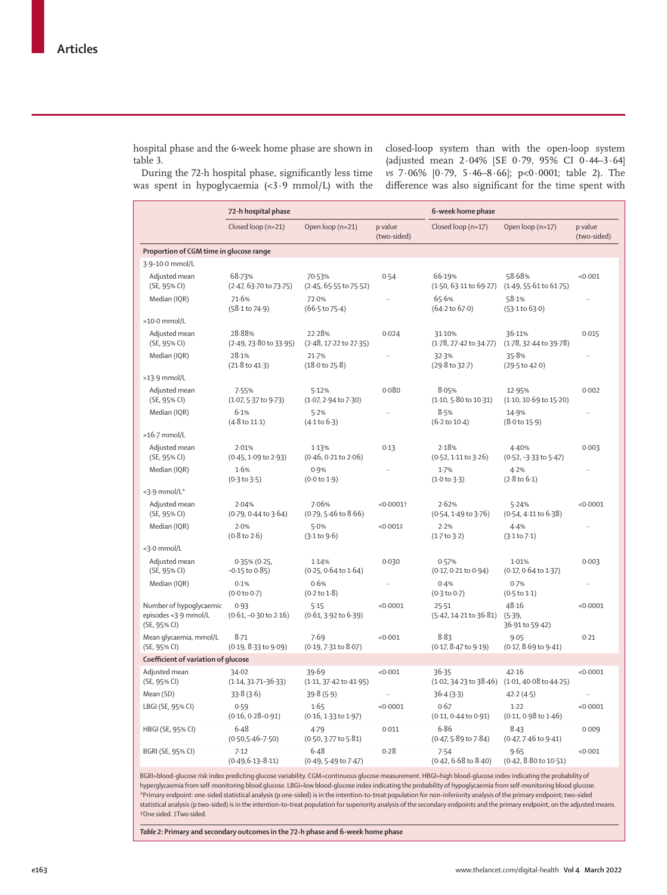hospital phase and the 6-week home phase are shown in table 3.

closed-loop system than with the open-loop system (adjusted mean 2·04% [SE 0·79, 95% CI 0·44–3·64] *vs* 7·06% [0·79, 5·46–8·66]; p<0·0001; table 2). The difference was also significant for the time spent with

During the 72-h hospital phase, significantly less time was spent in hypoglycaemia (<3·9 mmol/L) with the

|                                                                 | 72-h hospital phase                      |                                            | 6-week home phase      |                                             |                                             |                        |  |  |
|-----------------------------------------------------------------|------------------------------------------|--------------------------------------------|------------------------|---------------------------------------------|---------------------------------------------|------------------------|--|--|
|                                                                 | Closed loop (n=21)                       | Open loop (n=21)                           | p value<br>(two-sided) | Closed loop (n=17)                          | Open loop (n=17)                            | p value<br>(two-sided) |  |  |
| Proportion of CGM time in glucose range                         |                                          |                                            |                        |                                             |                                             |                        |  |  |
| 3.9-10.0 mmol/L                                                 |                                          |                                            |                        |                                             |                                             |                        |  |  |
| Adjusted mean<br>(SE, 95% CI)                                   | 68.73%<br>(2.47, 63.70 to 73.75)         | 70.53%<br>$(2.45, 65.55$ to $75.52)$       | 0.54                   | 66.19%<br>$(1.50, 63.11 \text{ to } 69.27)$ | 58.68%<br>$(1.49, 55.61 \text{ to } 61.75)$ | < 0.001                |  |  |
| Median (IQR)                                                    | 71.6%<br>(58.1 to 74.9)                  | 72.0%<br>(66.5 to 75.4)                    |                        | 65.6%<br>$(64.2 \text{ to } 67.0)$          | 58.1%<br>(53.1 to 63.0)                     |                        |  |  |
| $>10.0$ mmol/L                                                  |                                          |                                            |                        |                                             |                                             |                        |  |  |
| Adjusted mean<br>(SE, 95% CI)                                   | 28.88%<br>(2.49, 23.80 to 33.95)         | 22.28%<br>(2.48, 17.22 to 27.35)           | 0.024                  | 31.10%<br>(1.78, 27.42 to 34.77)            | 36.11%<br>(1.78, 32.44 to 39.78)            | 0.015                  |  |  |
| Median (IQR)                                                    | 28.1%<br>(21.8 to 41.3)                  | 21.7%<br>$(18.0 \text{ to } 25.8)$         | $\ddot{\phantom{0}}$   | 32.3%<br>(29.8 to 32.7)                     | 35.8%<br>(29.5 to 42.0)                     |                        |  |  |
| $>13.9$ mmol/L                                                  |                                          |                                            |                        |                                             |                                             |                        |  |  |
| Adjusted mean<br>(SE, 95% CI)                                   | 7.55%<br>$(1.07, 5.37$ to $9.73)$        | 5.12%<br>$(1.07, 2.94$ to $7.30)$          | 0.080                  | 8.05%<br>$(1.10, 5.80 \text{ to } 10.31)$   | 12.95%<br>$(1.10, 10.69 \text{ to } 15.20)$ | 0.002                  |  |  |
| Median (IQR)                                                    | 6.1%<br>$(4.8 \text{ to } 11.1)$         | 5.2%<br>(4.1 to 6.3)                       |                        | 8.5%<br>$(6.2 \text{ to } 10.4)$            | 14.9%<br>$(8.0 \text{ to } 15.9)$           | Ω.                     |  |  |
| >16.7 mmol/L                                                    |                                          |                                            |                        |                                             |                                             |                        |  |  |
| Adjusted mean<br>(SE, 95% CI)                                   | 2.01%<br>(0.45, 1.09 to 2.93)            | 1.13%<br>$(0.46, 0.21$ to $2.06)$          | 0.13                   | 2.18%<br>$(0.52, 1.11$ to $3.26)$           | 4.40%<br>$(0.52, -3.33)$ to 5.47)           | 0.003                  |  |  |
| Median (IQR)                                                    | 1.6%<br>(0.3 to 3.5)                     | 0.9%<br>(0.0 to 1.9)                       |                        | 1.7%<br>(1.0 to 3.3)                        | 4.2%<br>$(2.8 \text{ to } 6.1)$             |                        |  |  |
| <3.9 mmol/L*                                                    |                                          |                                            |                        |                                             |                                             |                        |  |  |
| Adjusted mean<br>(SE, 95% CI)                                   | 2.04%<br>(0.79, 0.44 to 3.64)            | 7.06%<br>$(0.79, 5.46 \text{ to } 8.66)$   | <0.0001                | 2.62%<br>(0.54, 1.49 to 3.76)               | 5.24%<br>$(0.54, 4.11$ to $6.38)$           | < 0.0001               |  |  |
| Median (IQR)                                                    | 2.0%<br>$(0.8 \text{ to } 2.6)$          | 5.0%<br>(3.1 to 9.6)                       | $< 0.001$ ‡            | 2.2%<br>(1.7 to 3.2)                        | 4.4%<br>(3.1 to 7.1)                        |                        |  |  |
| <3.0 mmol/L                                                     |                                          |                                            |                        |                                             |                                             |                        |  |  |
| Adjusted mean<br>(SE, 95% CI)                                   | $0.35\%$ (0.25,<br>$-0.15$ to $0.85$ )   | 1.14%<br>$(0.25, 0.64 \text{ to } 1.64)$   | 0.030                  | 0.57%<br>$(0.17, 0.21$ to $0.94)$           | 1.01%<br>$(0.17, 0.64$ to $1.37)$           | 0.003                  |  |  |
| Median (IQR)                                                    | 0.1%<br>(0.0 to 0.7)                     | 0.6%<br>$(0.2 \text{ to } 1.8)$            |                        | 0.4%<br>$(0.3 \text{ to } 0.7)$             | 0.7%<br>(0.5 to 1.1)                        |                        |  |  |
| Number of hypoglycaemic<br>episodes <3.9 mmol/L<br>(SE, 95% CI) | 0.93<br>$(0.61, -0.30 \text{ to } 2.16)$ | 5.15<br>$(0.61, 3.92 \text{ to } 6.39)$    | < 0.0001               | 25.51<br>$(5.42, 14.21 \text{ to } 36.81)$  | 48.16<br>(5.39,<br>36.91 to 59.42)          | < 0.0001               |  |  |
| Mean glycaemia, mmol/L<br>(SE, 95% CI)                          | 8.71<br>(0.19, 8.33 to 9.09)             | 7.69<br>$(0.19, 7.31$ to $8.07)$           | < 0.001                | 8.83<br>(0.17, 8.47 to 9.19)                | 9.05<br>$(0.17, 8.69 \text{ to } 9.41)$     | 0.21                   |  |  |
|                                                                 | Coefficient of variation of glucose      |                                            |                        |                                             |                                             |                        |  |  |
| Adjusted mean<br>(SE, 95% CI)                                   | 34.02<br>$(1.14, 31.71 - 36.33)$         | 39.69<br>$(1.11, 37.42 \text{ to } 41.95)$ | < 0.001                | 36.35<br>$(1.02, 34.23 \text{ to } 38.46)$  | 42.16<br>(1.01, 40.08 to 44.25)             | < 0.0001               |  |  |
| Mean (SD)                                                       | 33.8(3.6)                                | 39.8(5.9)                                  |                        | 36.4(3.3)                                   | 42.2(4.5)                                   | .,                     |  |  |
| LBGI (SE, 95% CI)                                               | 0.59<br>$(0.16, 0.28 - 0.91)$            | 1.65<br>$(0.16, 1.33 \text{ to } 1.97)$    | < 0.0001               | 0.67<br>(0.11, 0.44 to 0.91)                | 1.22<br>$(0.11, 0.98 \text{ to } 1.46)$     | < 0.0001               |  |  |
| HBGI (SE, 95% CI)                                               | 6.48<br>$(0.50,5.46 - 7.50)$             | 4.79<br>$(0.50, 3.77$ to $5.81)$           | 0.011                  | 6.86<br>$(0.47, 5.89 \text{ to } 7.84)$     | 8.43<br>$(0.47, 7.46 \text{ to } 9.41)$     | 0.009                  |  |  |
| BGRI (SE, 95% CI)                                               | 7.12<br>$(0.49, 6.13 - 8.11)$            | 6.48<br>$(0.49, 5.49 \text{ to } 7.47)$    | 0.28                   | 7.54<br>$(0.42, 6.68$ to $8.40)$            | 9.65<br>(0.42, 8.80 to 10.51)               | < 0.001                |  |  |
| .<br>.                                                          | the contract of the contract of the      |                                            |                        | $1.143$ and $1.153$ and $1.153$ and $1.153$ |                                             |                        |  |  |

BGRI=blood-glucose risk index predicting glucose variability. CGM=continuous glucose measurement. HBGI=high blood-glucose index indicating the probability of hyperglycaemia from self-monitoring blood glucose. LBGI=low blood-glucose index indicating the probability of hypoglycaemia from self-monitoring blood glucose. \*Primary endpoint: one-sided statistical analysis (p one-sided) is in the intention-to-treat population for non-inferiority analysis of the primary endpoint; two-sided statistical analysis (p two-sided) is in the intention-to-treat population for superiority analysis of the secondary endpoints and the primary endpoint, on the adjusted means. †One sided. ‡Two sided.

*Table 2:* **Primary and secondary outcomes in the 72-h phase and 6-week home phase**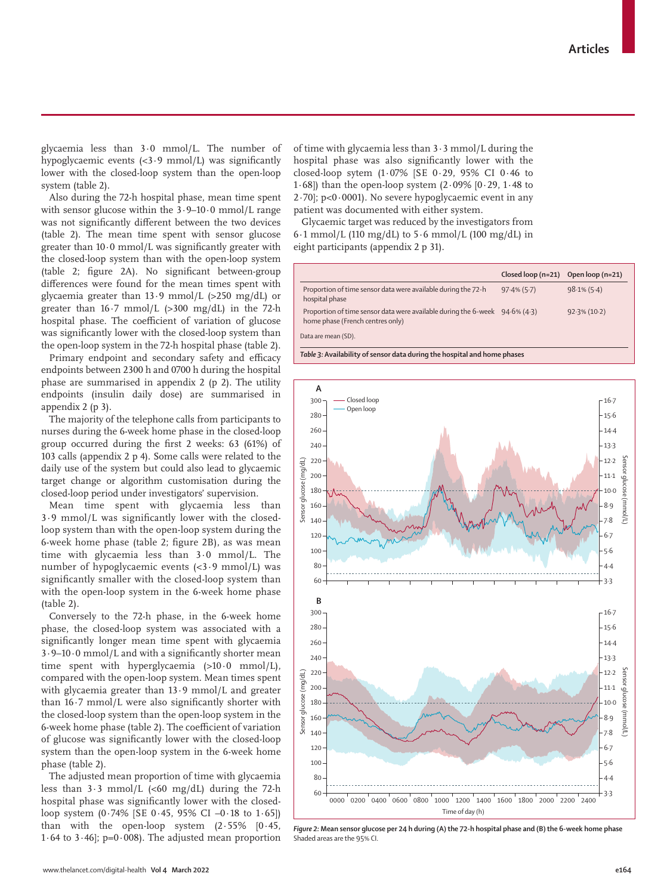www.thelancet.com/digital-health **Vol 4 March 2022 e164**

glycaemia less than 3·0 mmol/L. The number of hypoglycaemic events (<3·9 mmol/L) was significantly lower with the closed-loop system than the open-loop system (table 2).

Also during the 72-h hospital phase, mean time spent with sensor glucose within the  $3.9-10.0$  mmol/L range was not significantly different between the two devices (table 2). The mean time spent with sensor glucose greater than  $10.0 \text{ mmol/L}$  was significantly greater with the closed-loop system than with the open-loop system (table 2; figure 2A). No significant between-group differences were found for the mean times spent with glycaemia greater than 13·9 mmol/L (>250 mg/dL) or greater than  $16.7$  mmol/L  $(>300 \text{ mg/dL})$  in the 72-h hospital phase. The coefficient of variation of glucose was significantly lower with the closed-loop system than the open-loop system in the 72-h hospital phase (table 2).

Primary endpoint and secondary safety and efficacy endpoints between 2300 h and 0700 h during the hospital phase are summarised in appendix 2 (p 2). The utility endpoints (insulin daily dose) are summarised in appendix 2 (p 3).

The majority of the telephone calls from participants to nurses during the 6-week home phase in the closed-loop group occurred during the first 2 weeks: 63 (61%) of 103 calls (appendix 2 p 4). Some calls were related to the daily use of the system but could also lead to glycaemic target change or algorithm customisation during the closed-loop period under investigators' supervision.

Mean time spent with glycaemia less than 3·9 mmol/L was significantly lower with the closedloop system than with the open-loop system during the 6-week home phase (table 2; figure 2B), as was mean time with glycaemia less than 3·0 mmol/L. The number of hypoglycaemic events (<3·9 mmol/L) was significantly smaller with the closed-loop system than with the open-loop system in the 6-week home phase (table 2).

Conversely to the 72-h phase, in the 6-week home phase, the closed-loop system was associated with a significantly longer mean time spent with glycaemia 3·9–10·0 mmol/L and with a significantly shorter mean time spent with hyperglycaemia  $(>10.0 \text{ mmol/L})$ , compared with the open-loop system. Mean times spent with glycaemia greater than 13·9 mmol/L and greater than 16·7 mmol/L were also significantly shorter with the closed-loop system than the open-loop system in the 6-week home phase (table 2). The coefficient of variation of glucose was significantly lower with the closed-loop system than the open-loop system in the 6-week home phase (table 2).

The adjusted mean proportion of time with glycaemia less than  $3.3 \text{ mmol/L }$  (<60 mg/dL) during the 72-h hospital phase was significantly lower with the closedloop system (0·74% [SE 0·45, 95% CI –0·18 to 1·65]) than with the open-loop system  $(2.55\% \quad [0.45,$ 1.64 to 3.46];  $p=0.008$ . The adjusted mean proportion of time with glycaemia less than  $3 \cdot 3$  mmol/L during the hospital phase was also significantly lower with the closed-loop sytem (1·07% [SE 0·29, 95% CI 0·46 to 1 $\cdot$  68]) than the open-loop system (2 $\cdot$ 09% [0 $\cdot$ 29, 1 $\cdot$ 48 to 2·70]; p<0·0001). No severe hypoglycaemic event in any patient was documented with either system.

Glycaemic target was reduced by the investigators from  $6·1$  mmol/L (110 mg/dL) to  $5·6$  mmol/L (100 mg/dL) in eight participants (appendix 2 p 31).

|                                                                                                                 | Closed loop $(n=21)$ Open loop $(n=21)$ |                 |  |  |  |  |
|-----------------------------------------------------------------------------------------------------------------|-----------------------------------------|-----------------|--|--|--|--|
| Proportion of time sensor data were available during the 72-h<br>hospital phase                                 | $97.4\%$ (5.7)                          | $98.1\%$ (5.4)  |  |  |  |  |
| Proportion of time sensor data were available during the 6-week 94.6% (4.3)<br>home phase (French centres only) |                                         | $92.3\% (10.2)$ |  |  |  |  |
| Data are mean (SD).                                                                                             |                                         |                 |  |  |  |  |
| Table 3: Availability of sensor data during the hospital and home phases                                        |                                         |                 |  |  |  |  |



*Figure 2:* **Mean sensor glucose per 24 h during (A) the 72-h hospital phase and (B) the 6-week home phase** Shaded areas are the 95% CI.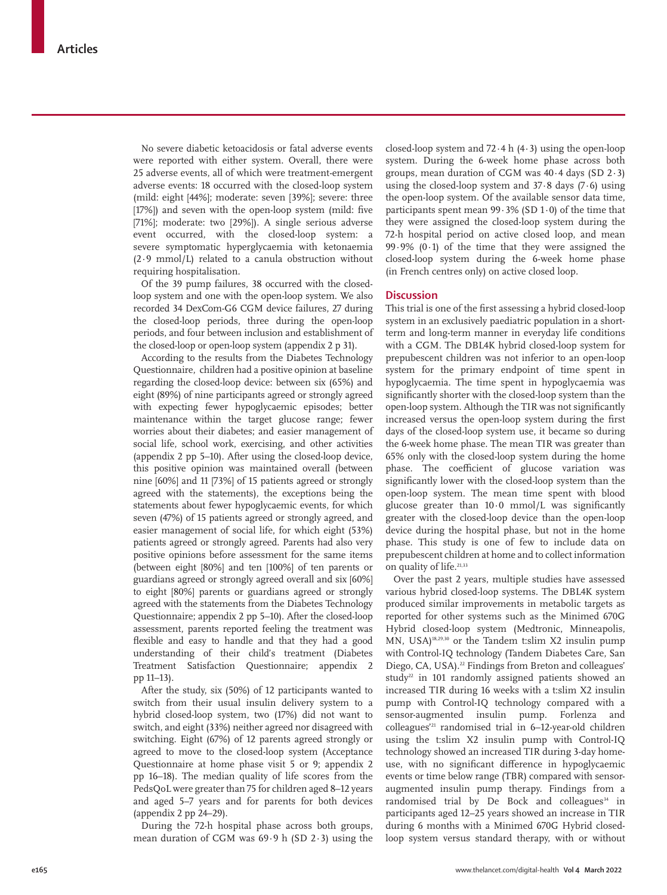No severe diabetic ketoacidosis or fatal adverse events were reported with either system. Overall, there were 25 adverse events, all of which were treatment-emergent adverse events: 18 occurred with the closed-loop system (mild: eight [44%]; moderate: seven [39%]; severe: three [17%]) and seven with the open-loop system (mild: five [71%]; moderate: two [29%]). A single serious adverse event occurred, with the closed-loop system: a severe symptomatic hyperglycaemia with ketonaemia (2·9 mmol/L) related to a canula obstruction without requiring hospitalisation.

Of the 39 pump failures, 38 occurred with the closedloop system and one with the open-loop system. We also recorded 34 DexCom-G6 CGM device failures, 27 during the closed-loop periods, three during the open-loop periods, and four between inclusion and establishment of the closed-loop or open-loop system (appendix 2 p 31).

According to the results from the Diabetes Technology Questionnaire, children had a positive opinion at baseline regarding the closed-loop device: between six (65%) and eight (89%) of nine participants agreed or strongly agreed with expecting fewer hypoglycaemic episodes; better maintenance within the target glucose range; fewer worries about their diabetes; and easier management of social life, school work, exercising, and other activities (appendix 2 pp 5–10). After using the closed-loop device, this positive opinion was maintained overall (between nine [60%] and 11 [73%] of 15 patients agreed or strongly agreed with the statements), the exceptions being the statements about fewer hypoglycaemic events, for which seven (47%) of 15 patients agreed or strongly agreed, and easier management of social life, for which eight (53%) patients agreed or strongly agreed. Parents had also very positive opinions before assessment for the same items (between eight [80%] and ten [100%] of ten parents or guardians agreed or strongly agreed overall and six [60%] to eight [80%] parents or guardians agreed or strongly agreed with the statements from the Diabetes Technology Questionnaire; appendix 2 pp 5–10). After the closed-loop assessment, parents reported feeling the treatment was flexible and easy to handle and that they had a good understanding of their child's treatment (Diabetes Treatment Satisfaction Questionnaire; appendix 2 pp 11–13).

After the study, six (50%) of 12 participants wanted to switch from their usual insulin delivery system to a hybrid closed-loop system, two (17%) did not want to switch, and eight (33%) neither agreed nor disagreed with switching. Eight (67%) of 12 parents agreed strongly or agreed to move to the closed-loop system (Acceptance Questionnaire at home phase visit 5 or 9; appendix 2 pp 16–18). The median quality of life scores from the PedsQoL were greater than 75 for children aged 8–12 years and aged 5–7 years and for parents for both devices (appendix 2 pp 24–29).

During the 72-h hospital phase across both groups, mean duration of CGM was 69·9 h (SD 2·3) using the closed-loop system and  $72.4 h (4.3)$  using the open-loop system. During the 6-week home phase across both groups, mean duration of CGM was  $40.4$  days (SD  $2.3$ ) using the closed-loop system and  $37.8$  days  $(7.6)$  using the open-loop system. Of the available sensor data time, participants spent mean  $99.3\%$  (SD  $1.0$ ) of the time that they were assigned the closed-loop system during the 72-h hospital period on active closed loop, and mean 99·9% (0·1) of the time that they were assigned the closed-loop system during the 6-week home phase (in French centres only) on active closed loop.

#### **Discussion**

This trial is one of the first assessing a hybrid closed-loop system in an exclusively paediatric population in a shortterm and long-term manner in everyday life conditions with a CGM. The DBL4K hybrid closed-loop system for prepubescent children was not inferior to an open-loop system for the primary endpoint of time spent in hypoglycaemia. The time spent in hypoglycaemia was significantly shorter with the closed-loop system than the open-loop system. Although the TIR was not significantly increased versus the open-loop system during the first days of the closed-loop system use, it became so during the 6-week home phase. The mean TIR was greater than 65% only with the closed-loop system during the home phase. The coefficient of glucose variation was significantly lower with the closed-loop system than the open-loop system. The mean time spent with blood glucose greater than 10·0 mmol/L was significantly greater with the closed-loop device than the open-loop device during the hospital phase, but not in the home phase. This study is one of few to include data on prepubescent children at home and to collect information on quality of life.<sup>21,33</sup>

Over the past 2 years, multiple studies have assessed various hybrid closed-loop systems. The DBL4K system produced similar improvements in metabolic targets as reported for other systems such as the Minimed 670G Hybrid closed-loop system (Medtronic, Minneapolis, MN, USA)18,29,30 or the Tandem t:slim X2 insulin pump with Control-IQ technology (Tandem Diabetes Care, San Diego, CA, USA).<sup>22</sup> Findings from Breton and colleagues' study<sup>22</sup> in 101 randomly assigned patients showed an increased TIR during 16 weeks with a t:slim X2 insulin pump with Control-IQ technology compared with a sensor-augmented insulin pump. Forlenza and colleagues'21 randomised trial in 6–12-year-old children using the t:slim X2 insulin pump with Control-IQ technology showed an increased TIR during 3-day homeuse, with no significant difference in hypoglycaemic events or time below range (TBR) compared with sensoraugmented insulin pump therapy. Findings from a randomised trial by De Bock and colleagues<sup>34</sup> in participants aged 12–25 years showed an increase in TIR during 6 months with a Minimed 670G Hybrid closedloop system versus standard therapy, with or without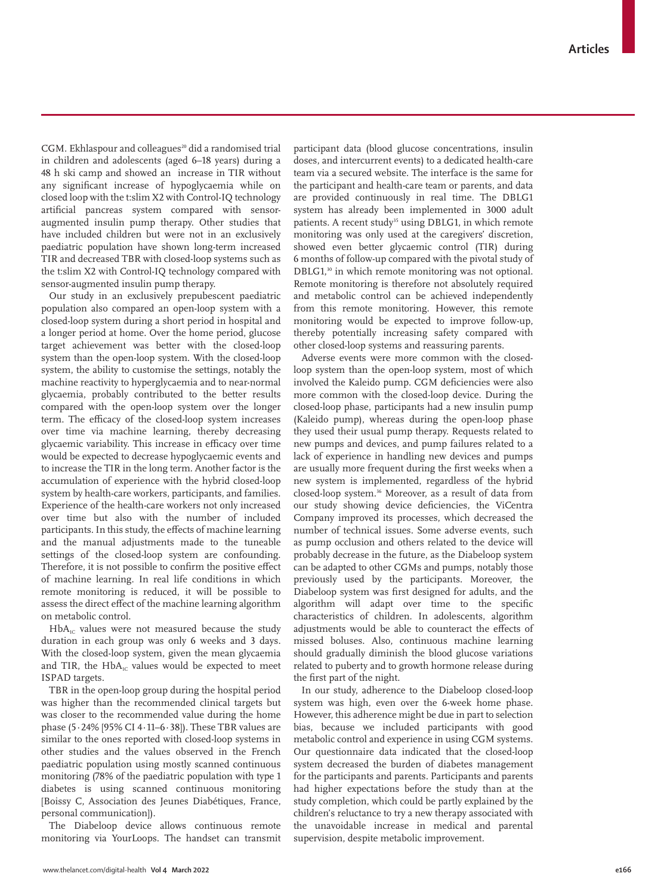CGM. Ekhlaspour and colleagues<sup>20</sup> did a randomised trial in children and adolescents (aged 6–18 years) during a 48 h ski camp and showed an increase in TIR without any significant increase of hypoglycaemia while on closed loop with the t:slim X2 with Control-IQ technology artificial pancreas system compared with sensoraugmented insulin pump therapy. Other studies that have included children but were not in an exclusively paediatric population have shown long-term increased TIR and decreased TBR with closed-loop systems such as the t:slim X2 with Control-IQ technology compared with sensor-augmented insulin pump therapy.

Our study in an exclusively prepubescent paediatric population also compared an open-loop system with a closed-loop system during a short period in hospital and a longer period at home. Over the home period, glucose target achievement was better with the closed-loop system than the open-loop system. With the closed-loop system, the ability to customise the settings, notably the machine reactivity to hyperglycaemia and to near-normal glycaemia, probably contributed to the better results compared with the open-loop system over the longer term. The efficacy of the closed-loop system increases over time via machine learning, thereby decreasing glycaemic variability. This increase in efficacy over time would be expected to decrease hypoglycaemic events and to increase the TIR in the long term. Another factor is the accumulation of experience with the hybrid closed-loop system by health-care workers, participants, and families. Experience of the health-care workers not only increased over time but also with the number of included participants. In this study, the effects of machine learning and the manual adjustments made to the tuneable settings of the closed-loop system are confounding. Therefore, it is not possible to confirm the positive effect of machine learning. In real life conditions in which remote monitoring is reduced, it will be possible to assess the direct effect of the machine learning algorithm on metabolic control.

 $HbA<sub>IC</sub>$  values were not measured because the study duration in each group was only 6 weeks and 3 days. With the closed-loop system, given the mean glycaemia and TIR, the  $HbA<sub>1C</sub>$  values would be expected to meet ISPAD targets.

TBR in the open-loop group during the hospital period was higher than the recommended clinical targets but was closer to the recommended value during the home phase (5·24% [95% CI 4·11–6·38]). These TBR values are similar to the ones reported with closed-loop systems in other studies and the values observed in the French paediatric population using mostly scanned continuous monitoring (78% of the paediatric population with type 1 diabetes is using scanned continuous monitoring [Boissy C, Association des Jeunes Diabétiques, France, personal communication]).

The Diabeloop device allows continuous remote monitoring via YourLoops. The handset can transmit participant data (blood glucose concentrations, insulin doses, and intercurrent events) to a dedicated health-care team via a secured website. The interface is the same for the participant and health-care team or parents, and data are provided continuously in real time. The DBLG1 system has already been implemented in 3000 adult patients. A recent study<sup>35</sup> using DBLG1, in which remote monitoring was only used at the caregivers' discretion, showed even better glycaemic control (TIR) during 6 months of follow-up compared with the pivotal study of DBLG1,<sup>30</sup> in which remote monitoring was not optional. Remote monitoring is therefore not absolutely required and metabolic control can be achieved independently from this remote monitoring. However, this remote monitoring would be expected to improve follow-up, thereby potentially increasing safety compared with other closed-loop systems and reassuring parents.

Adverse events were more common with the closedloop system than the open-loop system, most of which involved the Kaleido pump. CGM deficiencies were also more common with the closed-loop device. During the closed-loop phase, participants had a new insulin pump (Kaleido pump), whereas during the open-loop phase they used their usual pump therapy. Requests related to new pumps and devices, and pump failures related to a lack of experience in handling new devices and pumps are usually more frequent during the first weeks when a new system is implemented, regardless of the hybrid closed-loop system.36 Moreover, as a result of data from our study showing device deficiencies, the ViCentra Company improved its processes, which decreased the number of technical issues. Some adverse events, such as pump occlusion and others related to the device will probably decrease in the future, as the Diabeloop system can be adapted to other CGMs and pumps, notably those previously used by the participants. Moreover, the Diabeloop system was first designed for adults, and the algorithm will adapt over time to the specific characteristics of children. In adolescents, algorithm adjustments would be able to counteract the effects of missed boluses. Also, continuous machine learning should gradually diminish the blood glucose variations related to puberty and to growth hormone release during the first part of the night.

In our study, adherence to the Diabeloop closed-loop system was high, even over the 6-week home phase. However, this adherence might be due in part to selection bias, because we included participants with good metabolic control and experience in using CGM systems. Our questionnaire data indicated that the closed-loop system decreased the burden of diabetes management for the participants and parents. Participants and parents had higher expectations before the study than at the study completion, which could be partly explained by the children's reluctance to try a new therapy associated with the unavoidable increase in medical and parental supervision, despite metabolic improvement.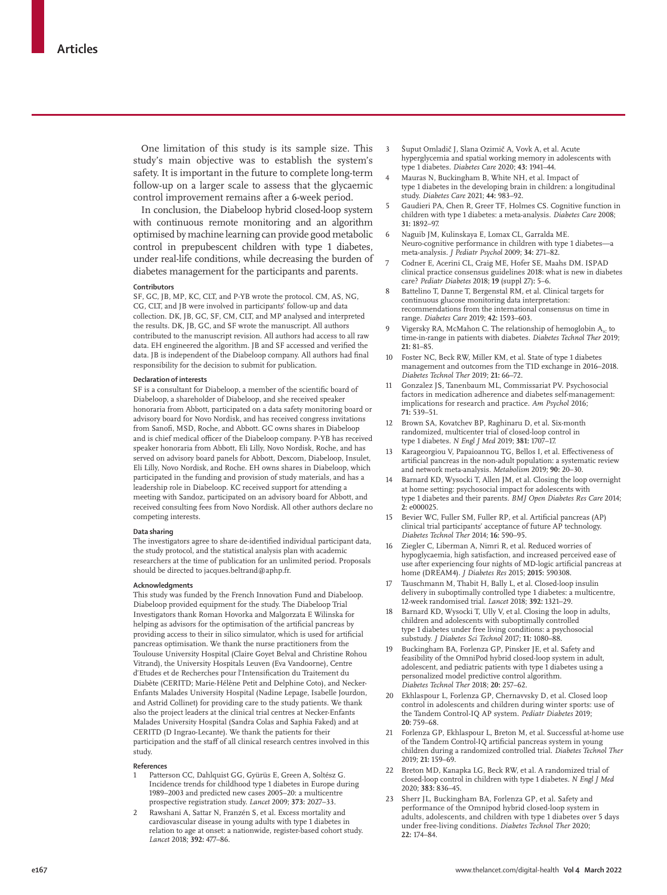One limitation of this study is its sample size. This study's main objective was to establish the system's safety. It is important in the future to complete long-term follow-up on a larger scale to assess that the glycaemic control improvement remains after a 6-week period.

In conclusion, the Diabeloop hybrid closed-loop system with continuous remote monitoring and an algorithm optimised by machine learning can provide good metabolic control in prepubescent children with type 1 diabetes, under real-life conditions, while decreasing the burden of diabetes management for the participants and parents.

#### **Contributors**

SF, GC, JB, MP, KC, CLT, and P-YB wrote the protocol. CM, AS, NG, CG, CLT, and JB were involved in participants' follow-up and data collection. DK, JB, GC, SF, CM, CLT, and MP analysed and interpreted the results. DK, JB, GC, and SF wrote the manuscript. All authors contributed to the manuscript revision. All authors had access to all raw data. EH engineered the algorithm. JB and SF accessed and verified the data. JB is independent of the Diabeloop company. All authors had final responsibility for the decision to submit for publication.

#### **Declaration of interests**

SF is a consultant for Diabeloop, a member of the scientific board of Diabeloop, a shareholder of Diabeloop, and she received speaker honoraria from Abbott, participated on a data safety monitoring board or advisory board for Novo Nordisk, and has received congress invitations from Sanofi, MSD, Roche, and Abbott. GC owns shares in Diabeloop and is chief medical officer of the Diabeloop company. P-YB has received speaker honoraria from Abbott, Eli Lilly, Novo Nordisk, Roche, and has served on advisory board panels for Abbott, Dexcom, Diabeloop, Insulet, Eli Lilly, Novo Nordisk, and Roche. EH owns shares in Diabeloop, which participated in the funding and provision of study materials, and has a leadership role in Diabeloop. KC received support for attending a meeting with Sandoz, participated on an advisory board for Abbott, and received consulting fees from Novo Nordisk. All other authors declare no competing interests.

#### **Data sharing**

The investigators agree to share de-identified individual participant data, the study protocol, and the statistical analysis plan with academic researchers at the time of publication for an unlimited period. Proposals should be directed to jacques.beltrand@aphp.fr.

#### **Acknowledgments**

This study was funded by the French Innovation Fund and Diabeloop. Diabeloop provided equipment for the study. The Diabeloop Trial Investigators thank Roman Hovorka and Malgorzata E Wilinska for helping as advisors for the optimisation of the artificial pancreas by providing access to their in silico simulator, which is used for artificial pancreas optimisation. We thank the nurse practitioners from the Toulouse University Hospital (Claire Goyet Belval and Christine Rohou Vitrand), the University Hospitals Leuven (Eva Vandoorne), Centre d'Etudes et de Recherches pour l'Intensification du Traitement du Diabète (CERITD; Marie-Hélène Petit and Delphine Coto), and Necker-Enfants Malades University Hospital (Nadine Lepage, Isabelle Jourdon, and Astrid Collinet) for providing care to the study patients. We thank also the project leaders at the clinical trial centres at Necker-Enfants Malades University Hospital (Sandra Colas and Saphia Faked) and at CERITD (D Ingrao-Lecante). We thank the patients for their participation and the staff of all clinical research centres involved in this study.

#### **References**

- 1 Patterson CC, Dahlquist GG, Gyürüs E, Green A, Soltész G. Incidence trends for childhood type 1 diabetes in Europe during 1989–2003 and predicted new cases 2005–20: a multicentre prospective registration study. *Lancet* 2009; **373:** 2027–33.
- 2 Rawshani A, Sattar N, Franzén S, et al. Excess mortality and cardiovascular disease in young adults with type 1 diabetes in relation to age at onset: a nationwide, register-based cohort study. *Lancet* 2018; **392:** 477–86.
- 3 Šuput Omladič J, Slana Ozimič A, Vovk A, et al. Acute hyperglycemia and spatial working memory in adolescents with type 1 diabetes. *Diabetes Care* 2020; **43:** 1941–44.
- Mauras N, Buckingham B, White NH, et al. Impact of type 1 diabetes in the developing brain in children: a longitudinal study. *Diabetes Care* 2021; **44:** 983–92.
- 5 Gaudieri PA, Chen R, Greer TF, Holmes CS. Cognitive function in children with type 1 diabetes: a meta-analysis. *Diabetes Care* 2008; **31:** 1892–97.
- 6 Naguib JM, Kulinskaya E, Lomax CL, Garralda ME. Neuro-cognitive performance in children with type 1 diabetes—a meta-analysis. *J Pediatr Psychol* 2009; **34:** 271–82.
- 7 Codner E, Acerini CL, Craig ME, Hofer SE, Maahs DM. ISPAD clinical practice consensus guidelines 2018: what is new in diabetes care? *Pediatr Diabetes* 2018; **19** (suppl 27)**:** 5–6.
- Battelino T, Danne T, Bergenstal RM, et al. Clinical targets for continuous glucose monitoring data interpretation: recommendations from the international consensus on time in range. *Diabetes Care* 2019; **42:** 1593–603.
- 9 Vigersky RA, McMahon C. The relationship of hemoglobin A<sub>1c</sub> to time-in-range in patients with diabetes. *Diabetes Technol Ther* 2019; **21:** 81–85.
- 10 Foster NC, Beck RW, Miller KM, et al. State of type 1 diabetes management and outcomes from the T1D exchange in 2016–2018. *Diabetes Technol Ther* 2019; **21:** 66–72.
- 11 Gonzalez JS, Tanenbaum ML, Commissariat PV. Psychosocial factors in medication adherence and diabetes self-management: implications for research and practice. *Am Psychol* 2016; **71:** 539–51.
- 12 Brown SA, Kovatchev BP, Raghinaru D, et al. Six-month randomized, multicenter trial of closed-loop control in type 1 diabetes. *N Engl J Med* 2019; **381:** 1707–17.
- 13 Karageorgiou V, Papaioannou TG, Bellos I, et al. Effectiveness of artificial pancreas in the non-adult population: a systematic review and network meta-analysis. *Metabolism* 2019; **90:** 20–30.
- Barnard KD, Wysocki T, Allen JM, et al. Closing the loop overnight at home setting: psychosocial impact for adolescents with type 1 diabetes and their parents. *BMJ Open Diabetes Res Care* 2014; **2:** e000025.
- 15 Bevier WC, Fuller SM, Fuller RP, et al. Artificial pancreas (AP) clinical trial participants' acceptance of future AP technology. *Diabetes Technol Ther* 2014; **16:** 590–95.
- Ziegler C, Liberman A, Nimri R, et al. Reduced worries of hypoglycaemia, high satisfaction, and increased perceived ease of use after experiencing four nights of MD-logic artificial pancreas at home (DREAM4). *J Diabetes Res* 2015; **2015:** 590308.
- 17 Tauschmann M, Thabit H, Bally L, et al. Closed-loop insulin delivery in suboptimally controlled type 1 diabetes: a multicentre, 12-week randomised trial. *Lancet* 2018; **392:** 1321–29.
- 18 Barnard KD, Wysocki T, Ully V, et al. Closing the loop in adults, children and adolescents with suboptimally controlled type 1 diabetes under free living conditions: a psychosocial substudy. *J Diabetes Sci Technol* 2017; **11:** 1080–88.
- Buckingham BA, Forlenza GP, Pinsker JE, et al. Safety and feasibility of the OmniPod hybrid closed-loop system in adult, adolescent, and pediatric patients with type 1 diabetes using a personalized model predictive control algorithm. *Diabetes Technol Ther* 2018; **20:** 257–62.
- 20 Ekhlaspour L, Forlenza GP, Chernavvsky D, et al. Closed loop control in adolescents and children during winter sports: use of the Tandem Control-IQ AP system. *Pediatr Diabetes* 2019; **20:** 759–68.
- Forlenza GP, Ekhlaspour L, Breton M, et al. Successful at-home use of the Tandem Control-IQ artificial pancreas system in young children during a randomized controlled trial. *Diabetes Technol Ther* 2019; **21:** 159–69.
- 22 Breton MD, Kanapka LG, Beck RW, et al*.* A randomized trial of closed-loop control in children with type 1 diabetes. *N Engl J Med* 2020; **383:** 836–45.
- Sherr JL, Buckingham BA, Forlenza GP, et al. Safety and performance of the Omnipod hybrid closed-loop system in adults, adolescents, and children with type 1 diabetes over 5 days under free-living conditions. *Diabetes Technol Ther* 2020; **22:** 174–84.